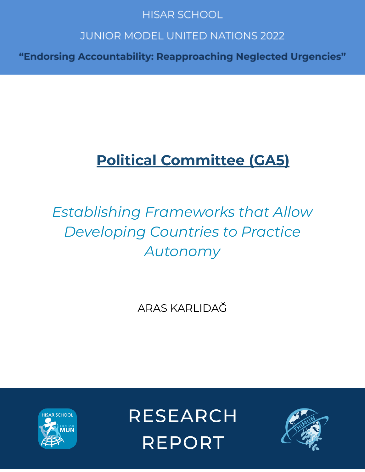### **HISAR SCHOOL**

## **JUNIOR MODEL UNITED NATIONS 2022**

"Endorsing Accountability: Reapproaching Neglected Urgencies"

## **Political Committee (GA5)**

# *Establishing Frameworks that Allow Developing Countries to Practice Autonomy*

ARAS KARLIDAĞ



**RESEARCH REPORT** 

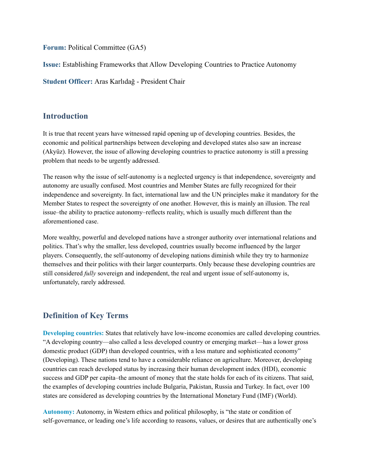**Forum:** Political Committee (GA5)

**Issue:** Establishing Frameworks that Allow Developing Countries to Practice Autonomy

**Student Officer:** Aras Karlıdağ - President Chair

#### **Introduction**

It is true that recent years have witnessed rapid opening up of developing countries. Besides, the economic and political partnerships between developing and developed states also saw an increase (Akyüz). However, the issue of allowing developing countries to practice autonomy is still a pressing problem that needs to be urgently addressed.

The reason why the issue of self-autonomy is a neglected urgency is that independence, sovereignty and autonomy are usually confused. Most countries and Member States are fully recognized for their independence and sovereignty. In fact, international law and the UN principles make it mandatory for the Member States to respect the sovereignty of one another. However, this is mainly an illusion. The real issue–the ability to practice autonomy–reflects reality, which is usually much different than the aforementioned case.

More wealthy, powerful and developed nations have a stronger authority over international relations and politics. That's why the smaller, less developed, countries usually become influenced by the larger players. Consequently, the self-autonomy of developing nations diminish while they try to harmonize themselves and their politics with their larger counterparts. Only because these developing countries are still considered *fully* sovereign and independent, the real and urgent issue of self-autonomy is, unfortunately, rarely addressed.

### **Definition of Key Terms**

**Developing countries:** States that relatively have low-income economies are called developing countries. "A developing country—also called a less developed country or emerging market—has a lower gross domestic product (GDP) than developed countries, with a less mature and sophisticated economy" (Developing). These nations tend to have a considerable reliance on agriculture. Moreover, developing countries can reach developed status by increasing their human development index (HDI), economic success and GDP per capita–the amount of money that the state holds for each of its citizens. That said, the examples of developing countries include Bulgaria, Pakistan, Russia and Turkey. In fact, over 100 states are considered as developing countries by the International Monetary Fund (IMF) (World).

**Autonomy:** Autonomy, in Western ethics and political philosophy, is "the state or condition of self-governance, or leading one's life according to reasons, values, or desires that are authentically one's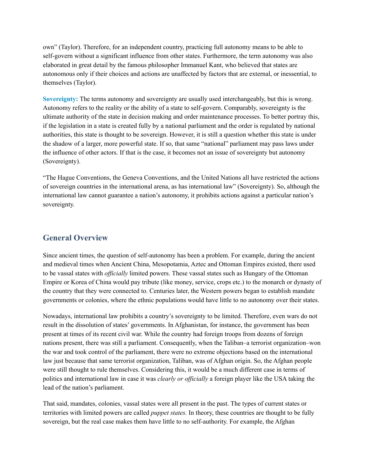own" (Taylor). Therefore, for an independent country, practicing full autonomy means to be able to self-govern without a significant influence from other states. Furthermore, the term autonomy was also elaborated in great detail by the famous philosopher Immanuel Kant, who believed that states are autonomous only if their choices and actions are unaffected by factors that are external, or inessential, to themselves (Taylor).

**Sovereignty:** The terms autonomy and sovereignty are usually used interchangeably, but this is wrong. Autonomy refers to the reality or the ability of a state to self-govern. Comparably, sovereignty is the ultimate authority of the state in decision making and order maintenance processes. To better portray this, if the legislation in a state is created fully by a national parliament and the order is regulated by national authorities, this state is thought to be sovereign. However, it is still a question whether this state is under the shadow of a larger, more powerful state. If so, that same "national" parliament may pass laws under the influence of other actors. If that is the case, it becomes not an issue of sovereignty but autonomy (Sovereignty).

"The Hague Conventions, the Geneva Conventions, and the United Nations all have restricted the actions of sovereign countries in the international arena, as has international law" (Sovereignty). So, although the international law cannot guarantee a nation's autonomy, it prohibits actions against a particular nation's sovereignty.

#### **General Overview**

Since ancient times, the question of self-autonomy has been a problem. For example, during the ancient and medieval times when Ancient China, Mesopotamia, Aztec and Ottoman Empires existed, there used to be vassal states with *of icially* limited powers. These vassal states such as Hungary of the Ottoman Empire or Korea of China would pay tribute (like money, service, crops etc.) to the monarch or dynasty of the country that they were connected to. Centuries later, the Western powers began to establish mandate governments or colonies, where the ethnic populations would have little to no autonomy over their states.

Nowadays, international law prohibits a country's sovereignty to be limited. Therefore, even wars do not result in the dissolution of states' governments. In Afghanistan, for instance, the government has been present at times of its recent civil war. While the country had foreign troops from dozens of foreign nations present, there was still a parliament. Consequently, when the Taliban–a terrorist organization–won the war and took control of the parliament, there were no extreme objections based on the international law just because that same terrorist organization, Taliban, was of Afghan origin. So, the Afghan people were still thought to rule themselves. Considering this, it would be a much different case in terms of politics and international law in case it was *clearly or of icially* a foreign player like the USA taking the lead of the nation's parliament.

That said, mandates, colonies, vassal states were all present in the past. The types of current states or territories with limited powers are called *puppet states.* In theory, these countries are thought to be fully sovereign, but the real case makes them have little to no self-authority. For example, the Afghan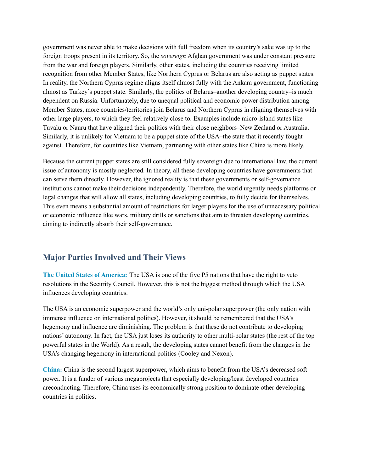government was never able to make decisions with full freedom when its country's sake was up to the foreign troops present in its territory. So, the *sovereign* Afghan government was under constant pressure from the war and foreign players. Similarly, other states, including the countries receiving limited recognition from other Member States, like Northern Cyprus or Belarus are also acting as puppet states. In reality, the Northern Cyprus regime aligns itself almost fully with the Ankara government, functioning almost as Turkey's puppet state. Similarly, the politics of Belarus–another developing country–is much dependent on Russia. Unfortunately, due to unequal political and economic power distribution among Member States, more countries/territories join Belarus and Northern Cyprus in aligning themselves with other large players, to which they feel relatively close to. Examples include micro-island states like Tuvalu or Nauru that have aligned their politics with their close neighbors–New Zealand or Australia. Similarly, it is unlikely for Vietnam to be a puppet state of the USA–the state that it recently fought against. Therefore, for countries like Vietnam, partnering with other states like China is more likely.

Because the current puppet states are still considered fully sovereign due to international law, the current issue of autonomy is mostly neglected. In theory, all these developing countries have governments that can serve them directly. However, the ignored reality is that these governments or self-governance institutions cannot make their decisions independently. Therefore, the world urgently needs platforms or legal changes that will allow all states, including developing countries, to fully decide for themselves. This even means a substantial amount of restrictions for larger players for the use of unnecessary political or economic influence like wars, military drills or sanctions that aim to threaten developing countries, aiming to indirectly absorb their self-governance.

#### **Major Parties Involved and Their Views**

**The United States of America:** The USA is one of the five P5 nations that have the right to veto resolutions in the Security Council. However, this is not the biggest method through which the USA influences developing countries.

The USA is an economic superpower and the world's only uni-polar superpower (the only nation with immense influence on international politics). However, it should be remembered that the USA's hegemony and influence are diminishing. The problem is that these do not contribute to developing nations' autonomy. In fact, the USA just loses its authority to other multi-polar states (the rest of the top powerful states in the World). As a result, the developing states cannot benefit from the changes in the USA's changing hegemony in international politics (Cooley and Nexon).

**China:** China is the second largest superpower, which aims to benefit from the USA's decreased soft power. It is a funder of various megaprojects that especially developing/least developed countries areconducting. Therefore, China uses its economically strong position to dominate other developing countries in politics.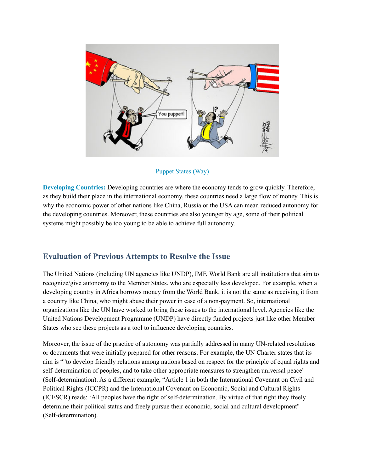

#### Puppet States (Way)

**Developing Countries:** Developing countries are where the economy tends to grow quickly. Therefore, as they build their place in the international economy, these countries need a large flow of money. This is why the economic power of other nations like China, Russia or the USA can mean reduced autonomy for the developing countries. Moreover, these countries are also younger by age, some of their political systems might possibly be too young to be able to achieve full autonomy.

#### **Evaluation of Previous Attempts to Resolve the Issue**

The United Nations (including UN agencies like UNDP), IMF, World Bank are all institutions that aim to recognize/give autonomy to the Member States, who are especially less developed. For example, when a developing country in Africa borrows money from the World Bank, it is not the same as receiving it from a country like China, who might abuse their power in case of a non-payment. So, international organizations like the UN have worked to bring these issues to the international level. Agencies like the United Nations Development Programme (UNDP) have directly funded projects just like other Member States who see these projects as a tool to influence developing countries.

Moreover, the issue of the practice of autonomy was partially addressed in many UN-related resolutions or documents that were initially prepared for other reasons. For example, the UN Charter states that its aim is ""to develop friendly relations among nations based on respect for the principle of equal rights and self-determination of peoples, and to take other appropriate measures to strengthen universal peace" (Self-determination). As a different example, "Article 1 in both the International Covenant on Civil and Political Rights (ICCPR) and the International Covenant on Economic, Social and Cultural Rights (ICESCR) reads: 'All peoples have the right of self-determination. By virtue of that right they freely determine their political status and freely pursue their economic, social and cultural development" (Self-determination).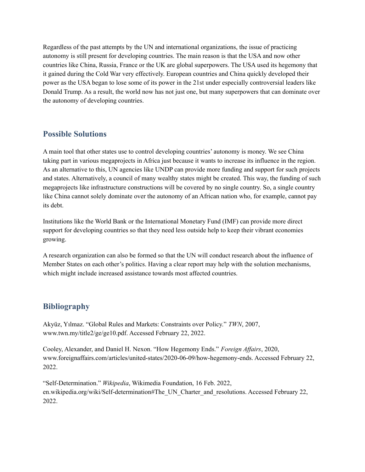Regardless of the past attempts by the UN and international organizations, the issue of practicing autonomy is still present for developing countries. The main reason is that the USA and now other countries like China, Russia, France or the UK are global superpowers. The USA used its hegemony that it gained during the Cold War very effectively. European countries and China quickly developed their power as the USA began to lose some of its power in the 21st under especially controversial leaders like Donald Trump. As a result, the world now has not just one, but many superpowers that can dominate over the autonomy of developing countries.

#### **Possible Solutions**

A main tool that other states use to control developing countries' autonomy is money. We see China taking part in various megaprojects in Africa just because it wants to increase its influence in the region. As an alternative to this, UN agencies like UNDP can provide more funding and support for such projects and states. Alternatively, a council of many wealthy states might be created. This way, the funding of such megaprojects like infrastructure constructions will be covered by no single country. So, a single country like China cannot solely dominate over the autonomy of an African nation who, for example, cannot pay its debt.

Institutions like the World Bank or the International Monetary Fund (IMF) can provide more direct support for developing countries so that they need less outside help to keep their vibrant economies growing.

A research organization can also be formed so that the UN will conduct research about the influence of Member States on each other's politics. Having a clear report may help with the solution mechanisms, which might include increased assistance towards most affected countries.

#### **Bibliography**

Akyüz, Yılmaz. "Global Rules and Markets: Constraints over Policy." *TWN*, 2007, www.twn.my/title2/ge/ge10.pdf. Accessed February 22, 2022.

Cooley, Alexander, and Daniel H. Nexon. "How Hegemony Ends." *Foreign Af airs*, 2020, www.foreignaffairs.com/articles/united-states/2020-06-09/how-hegemony-ends. Accessed February 22, 2022.

"Self-Determination." *Wikipedia*, Wikimedia Foundation, 16 Feb. 2022, en.wikipedia.org/wiki/Self-determination#The\_UN\_Charter\_and\_resolutions. Accessed February 22, 2022.